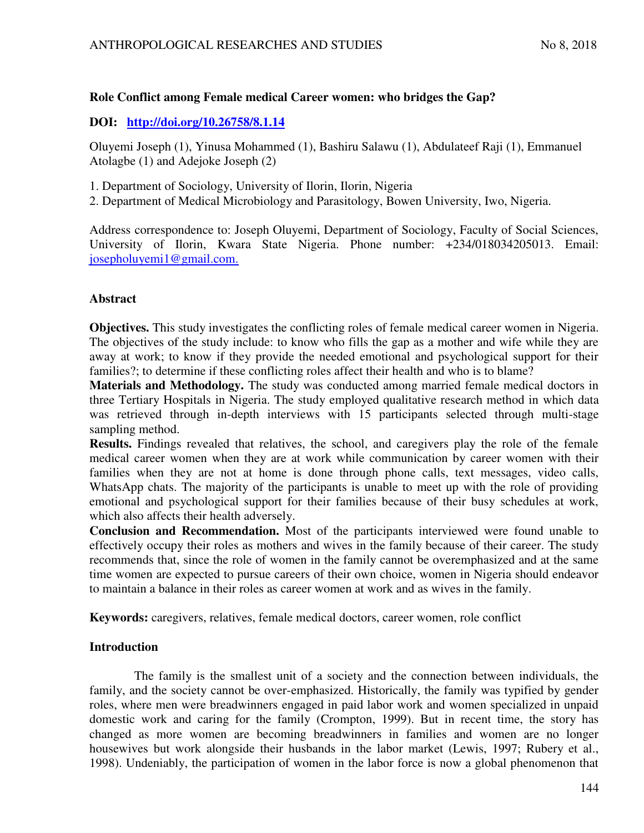## **Role Conflict among Female medical Career women: who bridges the Gap?**

## **DOI: http://doi.org/10.26758/8.1.14**

Oluyemi Joseph (1), Yinusa Mohammed (1), Bashiru Salawu (1), Abdulateef Raji (1), Emmanuel Atolagbe (1) and Adejoke Joseph (2)

- 1. Department of Sociology, University of Ilorin, Ilorin, Nigeria
- 2. Department of Medical Microbiology and Parasitology, Bowen University, Iwo, Nigeria.

Address correspondence to: Joseph Oluyemi, Department of Sociology, Faculty of Social Sciences, University of Ilorin, Kwara State Nigeria. Phone number: +234/018034205013. Email: josepholuyemi1@gmail.com.

## **Abstract**

**Objectives.** This study investigates the conflicting roles of female medical career women in Nigeria. The objectives of the study include: to know who fills the gap as a mother and wife while they are away at work; to know if they provide the needed emotional and psychological support for their families?; to determine if these conflicting roles affect their health and who is to blame?

**Materials and Methodology.** The study was conducted among married female medical doctors in three Tertiary Hospitals in Nigeria. The study employed qualitative research method in which data was retrieved through in-depth interviews with 15 participants selected through multi-stage sampling method.

**Results.** Findings revealed that relatives, the school, and caregivers play the role of the female medical career women when they are at work while communication by career women with their families when they are not at home is done through phone calls, text messages, video calls, WhatsApp chats. The majority of the participants is unable to meet up with the role of providing emotional and psychological support for their families because of their busy schedules at work, which also affects their health adversely.

**Conclusion and Recommendation.** Most of the participants interviewed were found unable to effectively occupy their roles as mothers and wives in the family because of their career. The study recommends that, since the role of women in the family cannot be overemphasized and at the same time women are expected to pursue careers of their own choice, women in Nigeria should endeavor to maintain a balance in their roles as career women at work and as wives in the family.

**Keywords:** caregivers, relatives, female medical doctors, career women, role conflict

# **Introduction**

The family is the smallest unit of a society and the connection between individuals, the family, and the society cannot be over-emphasized. Historically, the family was typified by gender roles, where men were breadwinners engaged in paid labor work and women specialized in unpaid domestic work and caring for the family (Crompton, 1999). But in recent time, the story has changed as more women are becoming breadwinners in families and women are no longer housewives but work alongside their husbands in the labor market (Lewis, 1997; Rubery et al., 1998). Undeniably, the participation of women in the labor force is now a global phenomenon that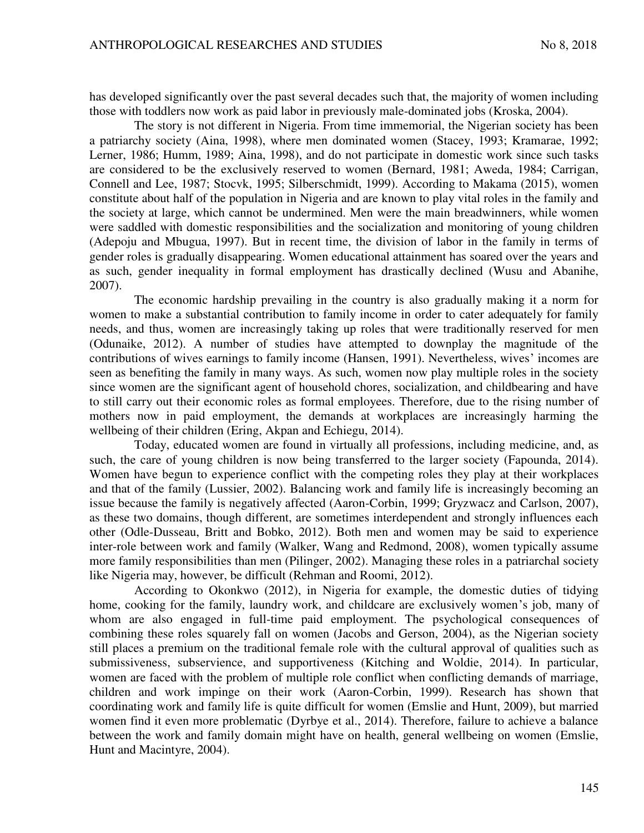has developed significantly over the past several decades such that, the majority of women including those with toddlers now work as paid labor in previously male-dominated jobs (Kroska, 2004).

The story is not different in Nigeria. From time immemorial, the Nigerian society has been a patriarchy society (Aina, 1998), where men dominated women (Stacey, 1993; Kramarae, 1992; Lerner, 1986; Humm, 1989; Aina, 1998), and do not participate in domestic work since such tasks are considered to be the exclusively reserved to women (Bernard, 1981; Aweda, 1984; Carrigan, Connell and Lee, 1987; Stocvk, 1995; Silberschmidt, 1999). According to Makama (2015), women constitute about half of the population in Nigeria and are known to play vital roles in the family and the society at large, which cannot be undermined. Men were the main breadwinners, while women were saddled with domestic responsibilities and the socialization and monitoring of young children (Adepoju and Mbugua, 1997). But in recent time, the division of labor in the family in terms of gender roles is gradually disappearing. Women educational attainment has soared over the years and as such, gender inequality in formal employment has drastically declined (Wusu and Abanihe, 2007).

The economic hardship prevailing in the country is also gradually making it a norm for women to make a substantial contribution to family income in order to cater adequately for family needs, and thus, women are increasingly taking up roles that were traditionally reserved for men (Odunaike, 2012). A number of studies have attempted to downplay the magnitude of the contributions of wives earnings to family income (Hansen, 1991). Nevertheless, wives' incomes are seen as benefiting the family in many ways. As such, women now play multiple roles in the society since women are the significant agent of household chores, socialization, and childbearing and have to still carry out their economic roles as formal employees. Therefore, due to the rising number of mothers now in paid employment, the demands at workplaces are increasingly harming the wellbeing of their children (Ering, Akpan and Echiegu, 2014).

Today, educated women are found in virtually all professions, including medicine, and, as such, the care of young children is now being transferred to the larger society (Fapounda, 2014). Women have begun to experience conflict with the competing roles they play at their workplaces and that of the family (Lussier, 2002). Balancing work and family life is increasingly becoming an issue because the family is negatively affected (Aaron-Corbin, 1999; Gryzwacz and Carlson, 2007), as these two domains, though different, are sometimes interdependent and strongly influences each other (Odle-Dusseau, Britt and Bobko, 2012). Both men and women may be said to experience inter-role between work and family (Walker, Wang and Redmond, 2008), women typically assume more family responsibilities than men (Pilinger, 2002). Managing these roles in a patriarchal society like Nigeria may, however, be difficult (Rehman and Roomi, 2012).

According to Okonkwo (2012), in Nigeria for example, the domestic duties of tidying home, cooking for the family, laundry work, and childcare are exclusively women's job, many of whom are also engaged in full-time paid employment. The psychological consequences of combining these roles squarely fall on women (Jacobs and Gerson, 2004), as the Nigerian society still places a premium on the traditional female role with the cultural approval of qualities such as submissiveness, subservience, and supportiveness (Kitching and Woldie, 2014). In particular, women are faced with the problem of multiple role conflict when conflicting demands of marriage, children and work impinge on their work (Aaron-Corbin, 1999). Research has shown that coordinating work and family life is quite difficult for women (Emslie and Hunt, 2009), but married women find it even more problematic (Dyrbye et al., 2014). Therefore, failure to achieve a balance between the work and family domain might have on health, general wellbeing on women (Emslie, Hunt and Macintyre, 2004).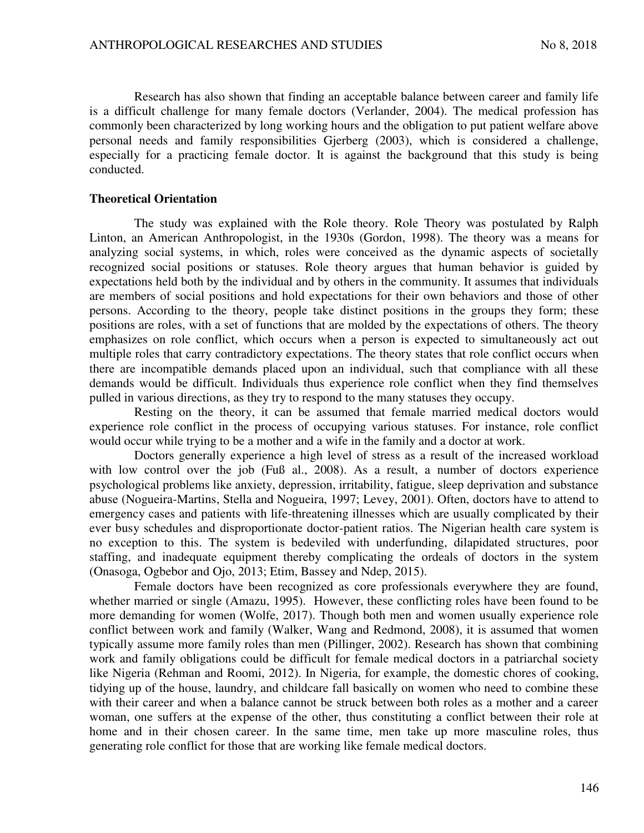Research has also shown that finding an acceptable balance between career and family life is a difficult challenge for many female doctors (Verlander, 2004). The medical profession has commonly been characterized by long working hours and the obligation to put patient welfare above personal needs and family responsibilities Gjerberg (2003), which is considered a challenge, especially for a practicing female doctor. It is against the background that this study is being conducted.

#### **Theoretical Orientation**

The study was explained with the Role theory. Role Theory was postulated by Ralph Linton, an American Anthropologist, in the 1930s (Gordon, 1998). The theory was a means for analyzing social systems, in which, roles were conceived as the dynamic aspects of societally recognized social positions or statuses. Role theory argues that human behavior is guided by expectations held both by the individual and by others in the community. It assumes that individuals are members of social positions and hold expectations for their own behaviors and those of other persons. According to the theory, people take distinct positions in the groups they form; these positions are roles, with a set of functions that are molded by the expectations of others. The theory emphasizes on role conflict, which occurs when a person is expected to simultaneously act out multiple roles that carry contradictory expectations. The theory states that role conflict occurs when there are incompatible demands placed upon an individual, such that compliance with all these demands would be difficult. Individuals thus experience role conflict when they find themselves pulled in various directions, as they try to respond to the many statuses they occupy.

Resting on the theory, it can be assumed that female married medical doctors would experience role conflict in the process of occupying various statuses. For instance, role conflict would occur while trying to be a mother and a wife in the family and a doctor at work.

Doctors generally experience a high level of stress as a result of the increased workload with low control over the job (Fuß al., 2008). As a result, a number of doctors experience psychological problems like anxiety, depression, irritability, fatigue, sleep deprivation and substance abuse (Nogueira-Martins, Stella and Nogueira, 1997; Levey, 2001). Often, doctors have to attend to emergency cases and patients with life-threatening illnesses which are usually complicated by their ever busy schedules and disproportionate doctor-patient ratios. The Nigerian health care system is no exception to this. The system is bedeviled with underfunding, dilapidated structures, poor staffing, and inadequate equipment thereby complicating the ordeals of doctors in the system (Onasoga, Ogbebor and Ojo, 2013; Etim, Bassey and Ndep, 2015).

Female doctors have been recognized as core professionals everywhere they are found, whether married or single (Amazu, 1995). However, these conflicting roles have been found to be more demanding for women (Wolfe, 2017). Though both men and women usually experience role conflict between work and family (Walker, Wang and Redmond, 2008), it is assumed that women typically assume more family roles than men (Pillinger, 2002). Research has shown that combining work and family obligations could be difficult for female medical doctors in a patriarchal society like Nigeria (Rehman and Roomi, 2012). In Nigeria, for example, the domestic chores of cooking, tidying up of the house, laundry, and childcare fall basically on women who need to combine these with their career and when a balance cannot be struck between both roles as a mother and a career woman, one suffers at the expense of the other, thus constituting a conflict between their role at home and in their chosen career. In the same time, men take up more masculine roles, thus generating role conflict for those that are working like female medical doctors.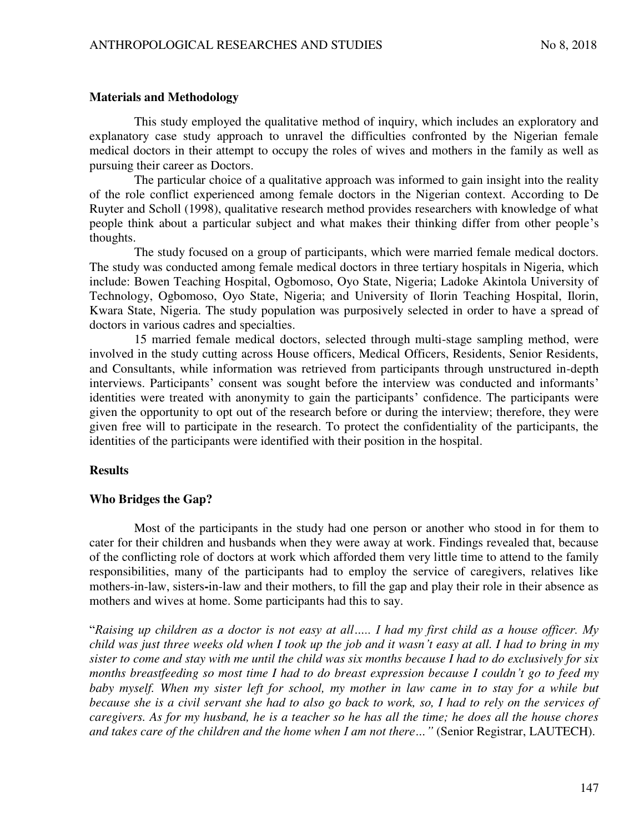#### **Materials and Methodology**

This study employed the qualitative method of inquiry, which includes an exploratory and explanatory case study approach to unravel the difficulties confronted by the Nigerian female medical doctors in their attempt to occupy the roles of wives and mothers in the family as well as pursuing their career as Doctors.

The particular choice of a qualitative approach was informed to gain insight into the reality of the role conflict experienced among female doctors in the Nigerian context. According to De Ruyter and Scholl (1998), qualitative research method provides researchers with knowledge of what people think about a particular subject and what makes their thinking differ from other people's thoughts.

The study focused on a group of participants, which were married female medical doctors. The study was conducted among female medical doctors in three tertiary hospitals in Nigeria, which include: Bowen Teaching Hospital, Ogbomoso, Oyo State, Nigeria; Ladoke Akintola University of Technology, Ogbomoso, Oyo State, Nigeria; and University of Ilorin Teaching Hospital, Ilorin, Kwara State, Nigeria. The study population was purposively selected in order to have a spread of doctors in various cadres and specialties.

15 married female medical doctors, selected through multi-stage sampling method, were involved in the study cutting across House officers, Medical Officers, Residents, Senior Residents, and Consultants, while information was retrieved from participants through unstructured in-depth interviews. Participants' consent was sought before the interview was conducted and informants' identities were treated with anonymity to gain the participants' confidence. The participants were given the opportunity to opt out of the research before or during the interview; therefore, they were given free will to participate in the research. To protect the confidentiality of the participants, the identities of the participants were identified with their position in the hospital.

### **Results**

### **Who Bridges the Gap?**

Most of the participants in the study had one person or another who stood in for them to cater for their children and husbands when they were away at work. Findings revealed that, because of the conflicting role of doctors at work which afforded them very little time to attend to the family responsibilities, many of the participants had to employ the service of caregivers, relatives like mothers-in-law, sisters**-**in-law and their mothers, to fill the gap and play their role in their absence as mothers and wives at home. Some participants had this to say.

"*Raising up children as a doctor is not easy at all….. I had my first child as a house officer. My child was just three weeks old when I took up the job and it wasn't easy at all. I had to bring in my sister to come and stay with me until the child was six months because I had to do exclusively for six months breastfeeding so most time I had to do breast expression because I couldn't go to feed my baby myself. When my sister left for school, my mother in law came in to stay for a while but because she is a civil servant she had to also go back to work, so, I had to rely on the services of caregivers. As for my husband, he is a teacher so he has all the time; he does all the house chores and takes care of the children and the home when I am not there…"* (Senior Registrar, LAUTECH).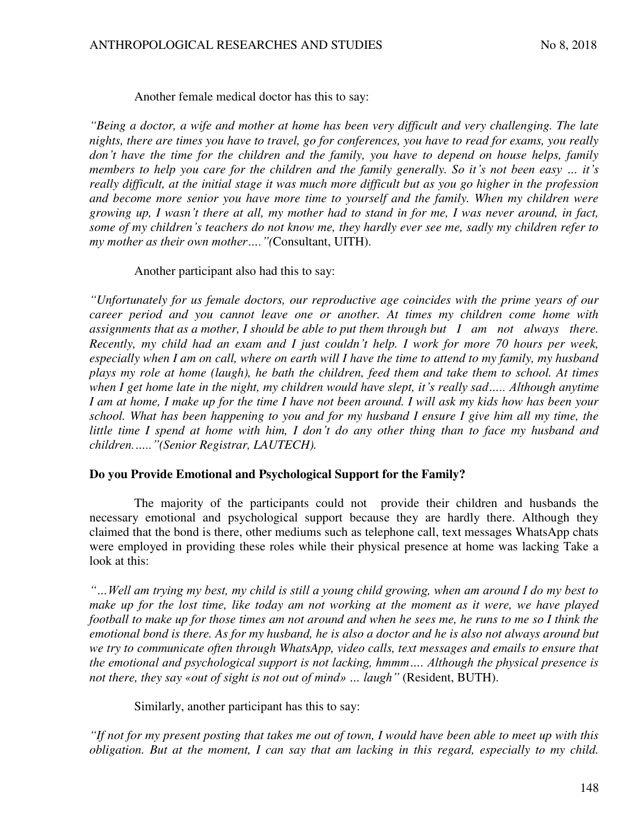Another female medical doctor has this to say:

*"Being a doctor, a wife and mother at home has been very difficult and very challenging. The late nights, there are times you have to travel, go for conferences, you have to read for exams, you really don't have the time for the children and the family, you have to depend on house helps, family members to help you care for the children and the family generally. So it's not been easy … it's really difficult, at the initial stage it was much more difficult but as you go higher in the profession and become more senior you have more time to yourself and the family. When my children were growing up, I wasn't there at all, my mother had to stand in for me, I was never around, in fact, some of my children's teachers do not know me, they hardly ever see me, sadly my children refer to my mother as their own mother…."(*Consultant, UITH).

### Another participant also had this to say:

*"Unfortunately for us female doctors, our reproductive age coincides with the prime years of our career period and you cannot leave one or another. At times my children come home with assignments that as a mother, I should be able to put them through but I am not always there. Recently, my child had an exam and I just couldn't help. I work for more 70 hours per week, especially when I am on call, where on earth will I have the time to attend to my family, my husband plays my role at home (laugh), he bath the children, feed them and take them to school. At times when I get home late in the night, my children would have slept, it's really sad….. Although anytime I am at home, I make up for the time I have not been around. I will ask my kids how has been your school. What has been happening to you and for my husband I ensure I give him all my time, the little time I spend at home with him, I don't do any other thing than to face my husband and children.….."(Senior Registrar, LAUTECH).* 

### **Do you Provide Emotional and Psychological Support for the Family?**

The majority of the participants could not provide their children and husbands the necessary emotional and psychological support because they are hardly there. Although they claimed that the bond is there, other mediums such as telephone call, text messages WhatsApp chats were employed in providing these roles while their physical presence at home was lacking Take a look at this:

*"…Well am trying my best, my child is still a young child growing, when am around I do my best to make up for the lost time, like today am not working at the moment as it were, we have played football to make up for those times am not around and when he sees me, he runs to me so I think the emotional bond is there. As for my husband, he is also a doctor and he is also not always around but we try to communicate often through WhatsApp, video calls, text messages and emails to ensure that the emotional and psychological support is not lacking, hmmm…. Although the physical presence is not there, they say «out of sight is not out of mind» … laugh"* (Resident, BUTH).

Similarly, another participant has this to say:

*"If not for my present posting that takes me out of town, I would have been able to meet up with this obligation. But at the moment, I can say that am lacking in this regard, especially to my child.*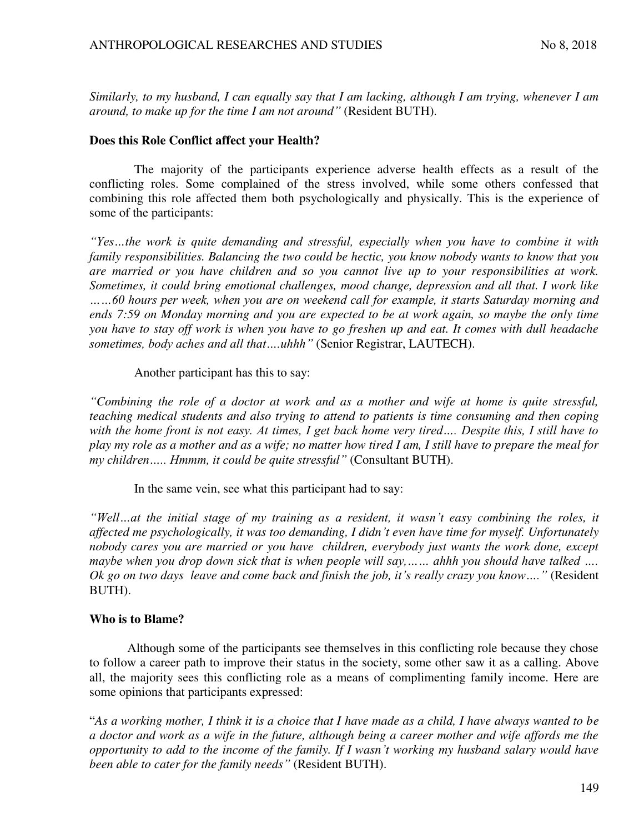*Similarly, to my husband, I can equally say that I am lacking, although I am trying, whenever I am around, to make up for the time I am not around"* (Resident BUTH).

### **Does this Role Conflict affect your Health?**

The majority of the participants experience adverse health effects as a result of the conflicting roles. Some complained of the stress involved, while some others confessed that combining this role affected them both psychologically and physically. This is the experience of some of the participants:

*"Yes…the work is quite demanding and stressful, especially when you have to combine it with family responsibilities. Balancing the two could be hectic, you know nobody wants to know that you are married or you have children and so you cannot live up to your responsibilities at work. Sometimes, it could bring emotional challenges, mood change, depression and all that. I work like*  ……60 hours per week, when you are on weekend call for example, it starts Saturday morning and *ends 7:59 on Monday morning and you are expected to be at work again, so maybe the only time you have to stay off work is when you have to go freshen up and eat. It comes with dull headache sometimes, body aches and all that….uhhh"* (Senior Registrar, LAUTECH).

### Another participant has this to say:

*"Combining the role of a doctor at work and as a mother and wife at home is quite stressful, teaching medical students and also trying to attend to patients is time consuming and then coping*  with the home front is not easy. At times, I get back home very tired.... Despite this, I still have to *play my role as a mother and as a wife; no matter how tired I am, I still have to prepare the meal for my children….. Hmmm, it could be quite stressful"* (Consultant BUTH).

In the same vein, see what this participant had to say:

*"Well…at the initial stage of my training as a resident, it wasn't easy combining the roles, it affected me psychologically, it was too demanding, I didn't even have time for myself. Unfortunately nobody cares you are married or you have children, everybody just wants the work done, except maybe when you drop down sick that is when people will say,…… ahhh you should have talked …. Ok go on two days leave and come back and finish the job, it's really crazy you know…."* (Resident BUTH).

# **Who is to Blame?**

Although some of the participants see themselves in this conflicting role because they chose to follow a career path to improve their status in the society, some other saw it as a calling. Above all, the majority sees this conflicting role as a means of complimenting family income. Here are some opinions that participants expressed:

"*As a working mother, I think it is a choice that I have made as a child, I have always wanted to be a doctor and work as a wife in the future, although being a career mother and wife affords me the opportunity to add to the income of the family. If I wasn't working my husband salary would have been able to cater for the family needs"* (Resident BUTH).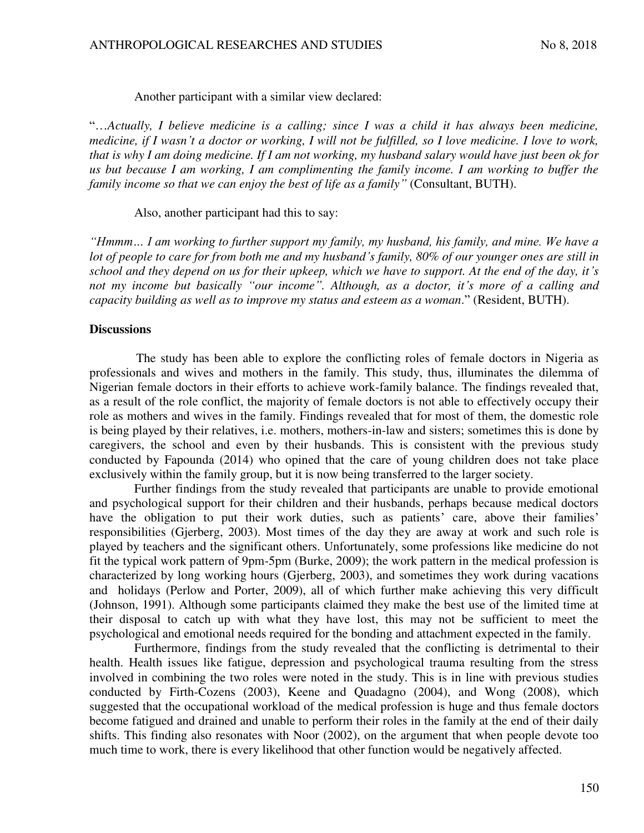#### Another participant with a similar view declared:

"…*Actually, I believe medicine is a calling; since I was a child it has always been medicine, medicine, if I wasn't a doctor or working, I will not be fulfilled, so I love medicine. I love to work, that is why I am doing medicine. If I am not working, my husband salary would have just been ok for us but because I am working, I am complimenting the family income. I am working to buffer the family income so that we can enjoy the best of life as a family"* (Consultant, BUTH).

#### Also, another participant had this to say:

*"Hmmm… I am working to further support my family, my husband, his family, and mine. We have a lot of people to care for from both me and my husband's family, 80% of our younger ones are still in school and they depend on us for their upkeep, which we have to support. At the end of the day, it's not my income but basically "our income". Although, as a doctor, it's more of a calling and capacity building as well as to improve my status and esteem as a woman*." (Resident, BUTH).

### **Discussions**

The study has been able to explore the conflicting roles of female doctors in Nigeria as professionals and wives and mothers in the family. This study, thus, illuminates the dilemma of Nigerian female doctors in their efforts to achieve work-family balance. The findings revealed that, as a result of the role conflict, the majority of female doctors is not able to effectively occupy their role as mothers and wives in the family. Findings revealed that for most of them, the domestic role is being played by their relatives, i.e. mothers, mothers-in-law and sisters; sometimes this is done by caregivers, the school and even by their husbands. This is consistent with the previous study conducted by Fapounda (2014) who opined that the care of young children does not take place exclusively within the family group, but it is now being transferred to the larger society.

Further findings from the study revealed that participants are unable to provide emotional and psychological support for their children and their husbands, perhaps because medical doctors have the obligation to put their work duties, such as patients' care, above their families' responsibilities (Gjerberg, 2003). Most times of the day they are away at work and such role is played by teachers and the significant others. Unfortunately, some professions like medicine do not fit the typical work pattern of 9pm-5pm (Burke, 2009); the work pattern in the medical profession is characterized by long working hours (Gjerberg, 2003), and sometimes they work during vacations and holidays (Perlow and Porter, 2009), all of which further make achieving this very difficult (Johnson, 1991). Although some participants claimed they make the best use of the limited time at their disposal to catch up with what they have lost, this may not be sufficient to meet the psychological and emotional needs required for the bonding and attachment expected in the family.

Furthermore, findings from the study revealed that the conflicting is detrimental to their health. Health issues like fatigue, depression and psychological trauma resulting from the stress involved in combining the two roles were noted in the study. This is in line with previous studies conducted by Firth-Cozens (2003), Keene and Quadagno (2004), and Wong (2008), which suggested that the occupational workload of the medical profession is huge and thus female doctors become fatigued and drained and unable to perform their roles in the family at the end of their daily shifts. This finding also resonates with Noor (2002), on the argument that when people devote too much time to work, there is every likelihood that other function would be negatively affected.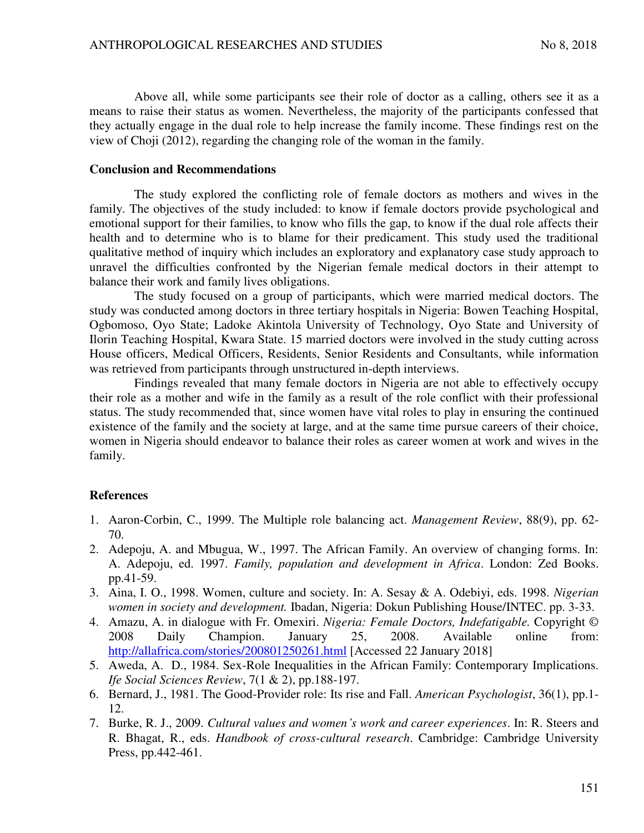Above all, while some participants see their role of doctor as a calling, others see it as a means to raise their status as women. Nevertheless, the majority of the participants confessed that they actually engage in the dual role to help increase the family income. These findings rest on the view of Choji (2012), regarding the changing role of the woman in the family.

#### **Conclusion and Recommendations**

The study explored the conflicting role of female doctors as mothers and wives in the family. The objectives of the study included: to know if female doctors provide psychological and emotional support for their families, to know who fills the gap, to know if the dual role affects their health and to determine who is to blame for their predicament. This study used the traditional qualitative method of inquiry which includes an exploratory and explanatory case study approach to unravel the difficulties confronted by the Nigerian female medical doctors in their attempt to balance their work and family lives obligations.

The study focused on a group of participants, which were married medical doctors. The study was conducted among doctors in three tertiary hospitals in Nigeria: Bowen Teaching Hospital, Ogbomoso, Oyo State; Ladoke Akintola University of Technology, Oyo State and University of Ilorin Teaching Hospital, Kwara State. 15 married doctors were involved in the study cutting across House officers, Medical Officers, Residents, Senior Residents and Consultants, while information was retrieved from participants through unstructured in-depth interviews.

Findings revealed that many female doctors in Nigeria are not able to effectively occupy their role as a mother and wife in the family as a result of the role conflict with their professional status. The study recommended that, since women have vital roles to play in ensuring the continued existence of the family and the society at large, and at the same time pursue careers of their choice, women in Nigeria should endeavor to balance their roles as career women at work and wives in the family.

### **References**

- 1. Aaron-Corbin, C., 1999. The Multiple role balancing act. *Management Review*, 88(9), pp. 62- 70.
- 2. Adepoju, A. and Mbugua, W., 1997. The African Family. An overview of changing forms. In: A. Adepoju, ed. 1997. *Family, population and development in Africa*. London: Zed Books. pp.41-59.
- 3. Aina, I. O., 1998. Women, culture and society. In: A. Sesay & A. Odebiyi, eds. 1998. *Nigerian women in society and development.* Ibadan, Nigeria: Dokun Publishing House/INTEC. pp. 3-33.
- 4. Amazu, A. in dialogue with Fr. Omexiri. *Nigeria: Female Doctors, Indefatigable.* Copyright © 2008 Daily Champion. January 25, 2008. Available online from: <http://allafrica.com/stories/200801250261.html>[Accessed 22 January 2018]
- 5. Aweda, A. D., 1984. Sex-Role Inequalities in the African Family: Contemporary Implications. *Ife Social Sciences Review*, 7(1 & 2), pp.188-197.
- 6. Bernard, J., 1981. The Good-Provider role: Its rise and Fall. *American Psychologist*, 36(1), pp.1- 12.
- 7. Burke, R. J., 2009. *Cultural values and women's work and career experiences*. In: R. Steers and R. Bhagat, R., eds. *Handbook of cross-cultural research*. Cambridge: Cambridge University Press, pp.442-461.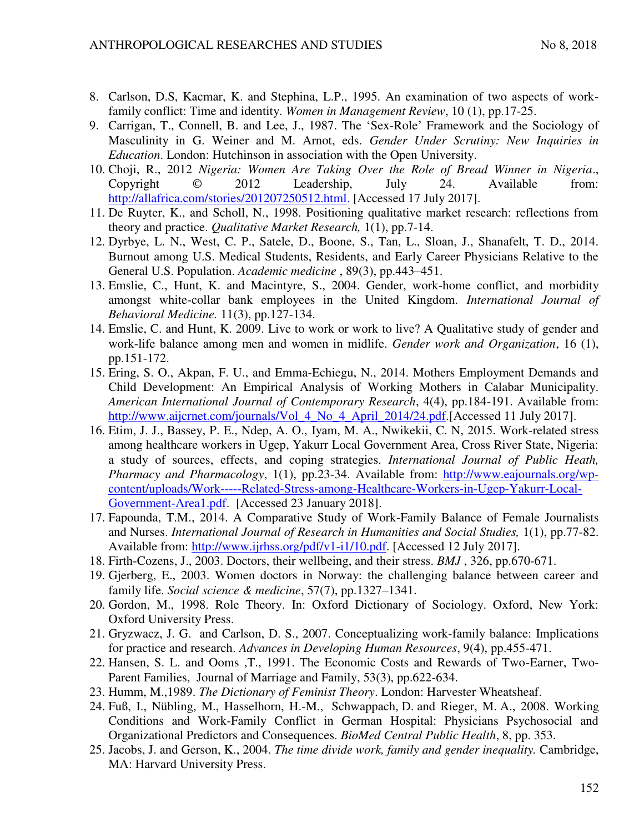- 8. Carlson, D.S, Kacmar, K. and Stephina, L.P., 1995. An examination of two aspects of workfamily conflict: Time and identity. *Women in Management Review*, 10 (1), pp.17-25.
- 9. Carrigan, T., Connell, B. and Lee, J., 1987. The 'Sex-Role' Framework and the Sociology of Masculinity in G. Weiner and M. Arnot, eds. *Gender Under Scrutiny: New Inquiries in Education*. London: Hutchinson in association with the Open University.
- 10. Choji, R., 2012 *Nigeria: Women Are Taking Over the Role of Bread Winner in Nigeria*., Copyright © 2012 Leadership, July 24. Available from: [http://allafrica.com/stories/201207250512.html.](http://allafrica.com/stories/201207250512.html) [Accessed 17 July 2017].
- 11. De Ruyter, K., and Scholl, N., 1998. Positioning qualitative market research: reflections from theory and practice. *Qualitative Market Research,* 1(1), pp.7-14.
- 12. Dyrbye, L. N., West, C. P., Satele, D., Boone, S., Tan, L., Sloan, J., Shanafelt, T. D., 2014. Burnout among U.S. Medical Students, Residents, and Early Career Physicians Relative to the General U.S. Population. *Academic medicine* , 89(3), pp.443–451.
- 13. Emslie, C., Hunt, K. and Macintyre, S., 2004. Gender, work-home conflict, and morbidity amongst white-collar bank employees in the United Kingdom. *International Journal of Behavioral Medicine.* 11(3), pp.127-134.
- 14. Emslie, C. and Hunt, K. 2009. Live to work or work to live? A Qualitative study of gender and work-life balance among men and women in midlife. *Gender work and Organization*, 16 (1), pp.151-172.
- 15. Ering, S. O., Akpan, F. U., and Emma-Echiegu, N., 2014. Mothers Employment Demands and Child Development: An Empirical Analysis of Working Mothers in Calabar Municipality. *American International Journal of Contemporary Research*, 4(4), pp.184-191. Available from: [http://www.aijcrnet.com/journals/Vol\\_4\\_No\\_4\\_April\\_2014/24.pdf.](http://www.aijcrnet.com/journals/Vol_4_No_4_April_2014/24.pdf)[Accessed 11 July 2017].
- 16. Etim, J. J., Bassey, P. E., Ndep, A. O., Iyam, M. A., Nwikekii, C. N, 2015. Work-related stress among healthcare workers in Ugep, Yakurr Local Government Area, Cross River State, Nigeria: a study of sources, effects, and coping strategies. *International Journal of Public Heath, Pharmacy and Pharmacology*, 1(1), pp.23-34. Available from: [http://www.eajournals.org/wp](http://www.eajournals.org/wp-content/uploads/Work-----Related-Stress-among-Healthcare-Workers-in-Ugep-Yakurr-Local-Government-Area1.pdf)[content/uploads/Work-----Related-Stress-among-Healthcare-Workers-in-Ugep-Yakurr-Local-](http://www.eajournals.org/wp-content/uploads/Work-----Related-Stress-among-Healthcare-Workers-in-Ugep-Yakurr-Local-Government-Area1.pdf)[Government-Area1.pdf.](http://www.eajournals.org/wp-content/uploads/Work-----Related-Stress-among-Healthcare-Workers-in-Ugep-Yakurr-Local-Government-Area1.pdf) [Accessed 23 January 2018].
- 17. Fapounda, T.M., 2014. A Comparative Study of Work-Family Balance of Female Journalists and Nurses. *International Journal of Research in Humanities and Social Studies,* 1(1), pp.77-82. Available from: [http://www.ijrhss.org/pdf/v1-i1/10.pdf.](http://www.ijrhss.org/pdf/v1-i1/10.pdf) [Accessed 12 July 2017].
- 18. Firth-Cozens, J., 2003. Doctors, their wellbeing, and their stress. *BMJ* , 326, pp.670-671.
- 19. Gjerberg, E., 2003. Women doctors in Norway: the challenging balance between career and family life. *Social science & medicine*, 57(7), pp.1327–1341.
- 20. Gordon, M., 1998. Role Theory. In: Oxford Dictionary of Sociology. Oxford, New York: Oxford University Press.
- 21. Gryzwacz, J. G. and Carlson, D. S., 2007. Conceptualizing work-family balance: Implications for practice and research. *Advances in Developing Human Resources*, 9(4), pp.455-471.
- 22. Hansen, S. L. and Ooms ,T., 1991. The Economic Costs and Rewards of Two-Earner, Two-Parent Families, Journal of Marriage and Family, 53(3), pp.622-634.
- 23. Humm, M.,1989. *The Dictionary of Feminist Theory*. London: Harvester Wheatsheaf.
- 24. Fuß, I., Nübling, M., Hasselhorn, H.-M., Schwappach, D. and Rieger, M. A., 2008. Working Conditions and Work-Family Conflict in German Hospital: Physicians Psychosocial and Organizational Predictors and Consequences. *BioMed Central Public Health*, 8, pp. 353.
- 25. Jacobs, J. and Gerson, K., 2004. *The time divide work, family and gender inequality.* Cambridge, MA: Harvard University Press.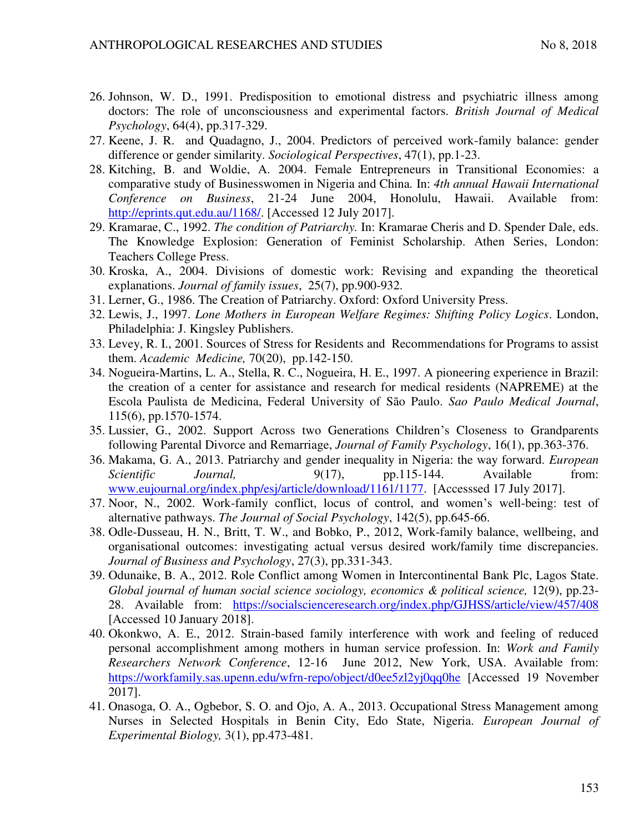- 26. Johnson, W. D., 1991. Predisposition to emotional distress and psychiatric illness among doctors: The role of unconsciousness and experimental factors. *British Journal of Medical Psychology*, 64(4), pp.317-329.
- 27. Keene, J. R. and Quadagno, J., 2004. Predictors of perceived work-family balance: gender difference or gender similarity. *Sociological Perspectives*, 47(1), pp.1-23.
- 28. Kitching, B. and Woldie, A. 2004. Female Entrepreneurs in Transitional Economies: a comparative study of Businesswomen in Nigeria and China*.* In: *4th annual Hawaii International Conference on Business*, 21-24 June 2004, Honolulu, Hawaii. Available from: [http://eprints.qut.edu.au/1168/.](http://eprints.qut.edu.au/1168/) [Accessed 12 July 2017].
- 29. Kramarae, C., 1992. *The condition of Patriarchy.* In: Kramarae Cheris and D. Spender Dale, eds. The Knowledge Explosion: Generation of Feminist Scholarship. Athen Series, London: Teachers College Press.
- 30. Kroska, A., 2004. Divisions of domestic work: Revising and expanding the theoretical explanations. *Journal of family issues*, 25(7), pp.900-932.
- 31. Lerner, G., 1986. The Creation of Patriarchy. Oxford: Oxford University Press.
- 32. Lewis, J., 1997. *Lone Mothers in European Welfare Regimes: Shifting Policy Logics*. London, Philadelphia: J. Kingsley Publishers.
- 33. Levey, R. I., 2001. Sources of Stress for Residents and Recommendations for Programs to assist them. *Academic Medicine,* 70(20), pp.142-150.
- 34. Nogueira-Martins, L. A., Stella, R. C., Nogueira, H. E., 1997. A pioneering experience in Brazil: the creation of a center for assistance and research for medical residents (NAPREME) at the Escola Paulista de Medicina, Federal University of São Paulo. *Sao Paulo Medical Journal*, 115(6), pp.1570-1574.
- 35. Lussier, G., 2002. Support Across two Generations Children's Closeness to Grandparents following Parental Divorce and Remarriage, *Journal of Family Psychology*, 16(1), pp.363-376.
- 36. Makama, G. A., 2013. Patriarchy and gender inequality in Nigeria: the way forward. *European Scientific Journal*, 9(17), pp.115-144. Available from: [www.eujournal.org/index.php/esj/article/download/1161/1177.](http://www.eujournal.org/index.php/esj/article/download/1161/1177) [Accesssed 17 July 2017].
- 37. Noor, N., 2002. Work-family conflict, locus of control, and women's well-being: test of alternative pathways. *The Journal of Social Psychology*, 142(5), pp.645-66.
- 38. Odle-Dusseau, H. N., Britt, T. W., and Bobko, P., 2012, Work-family balance, wellbeing, and organisational outcomes: investigating actual versus desired work/family time discrepancies. *Journal of Business and Psychology*, 27(3), pp.331-343.
- 39. Odunaike, B. A., 2012. Role Conflict among Women in Intercontinental Bank Plc, Lagos State. *Global journal of human social science sociology, economics & political science,* 12(9), pp.23- 28. Available from: <https://socialscienceresearch.org/index.php/GJHSS/article/view/457/408> [Accessed 10 January 2018].
- 40. Okonkwo, A. E., 2012. Strain-based family interference with work and feeling of reduced personal accomplishment among mothers in human service profession. In: *Work and Family Researchers Network Conference*, 12-16 June 2012, New York, USA. Available from: <https://workfamily.sas.upenn.edu/wfrn-repo/object/d0ee5zl2yj0qq0he>[Accessed 19 November 2017].
- 41. Onasoga, O. A., Ogbebor, S. O. and Ojo, A. A., 2013. Occupational Stress Management among Nurses in Selected Hospitals in Benin City, Edo State, Nigeria. *European Journal of Experimental Biology,* 3(1), pp.473-481.